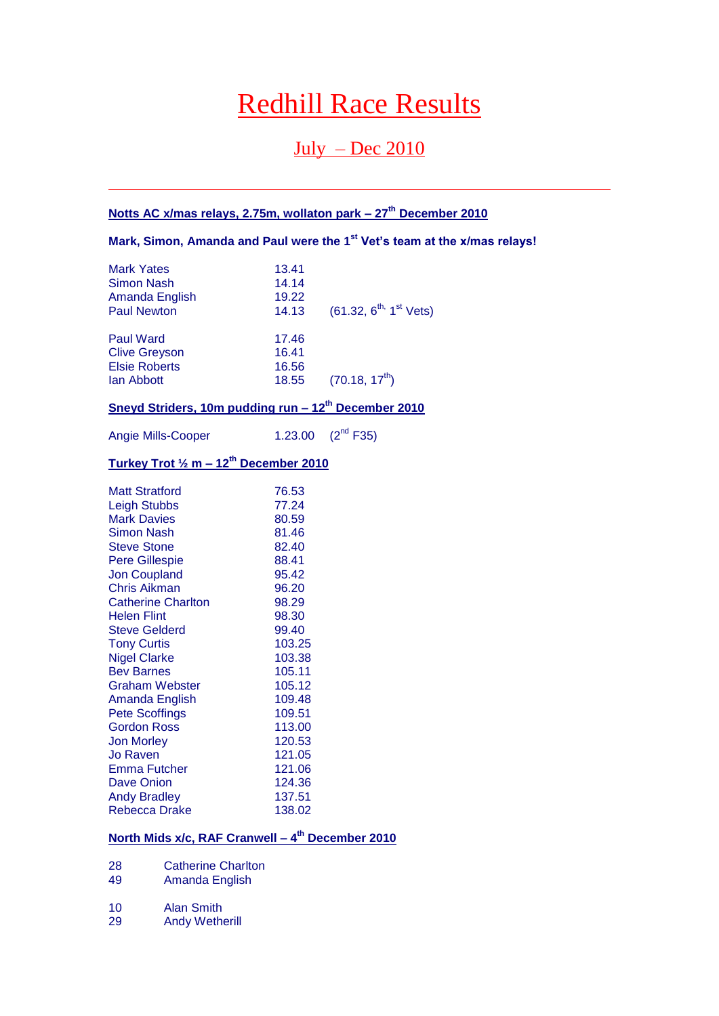# Redhill Race Results

# July – Dec 2010

# **Notts AC x/mas relays, 2.75m, wollaton park – 27th December 2010**

**Mark, Simon, Amanda and Paul were the 1st Vet's team at the x/mas relays!**

| <b>Mark Yates</b><br>Simon Nash<br>Amanda English<br><b>Paul Newton</b>        | 13.41<br>14.14<br>19.22<br>14.13 | $(61.32, 6^{th}, 1^{st}$ Vets) |
|--------------------------------------------------------------------------------|----------------------------------|--------------------------------|
| <b>Paul Ward</b><br><b>Clive Greyson</b><br><b>Elsie Roberts</b><br>lan Abbott | 17.46<br>16.41<br>16.56<br>18.55 | $(70.18, 17^{th})$             |

# **Sneyd Striders, 10m pudding run – 12th December 2010**

Angie Mills-Cooper 1.23.00 (2<sup>nd</sup> F35)

# **Turkey Trot ½ m – 12th December 2010**

| <b>Matt Stratford</b>     | 76.53  |
|---------------------------|--------|
| <b>Leigh Stubbs</b>       | 77.24  |
| <b>Mark Davies</b>        | 80.59  |
| <b>Simon Nash</b>         | 81.46  |
| <b>Steve Stone</b>        | 82.40  |
| <b>Pere Gillespie</b>     | 88.41  |
| <b>Jon Coupland</b>       | 95.42  |
| Chris Aikman              | 96.20  |
| <b>Catherine Charlton</b> | 98.29  |
| <b>Helen Flint</b>        | 98.30  |
| <b>Steve Gelderd</b>      | 99.40  |
| <b>Tony Curtis</b>        | 103.25 |
| <b>Nigel Clarke</b>       | 103.38 |
| <b>Bev Barnes</b>         | 105.11 |
| <b>Graham Webster</b>     | 105.12 |
| Amanda English            | 109.48 |
| <b>Pete Scoffings</b>     | 109.51 |
| <b>Gordon Ross</b>        | 113.00 |
| <b>Jon Morley</b>         | 120.53 |
| Jo Raven                  | 121.05 |
| Emma Futcher              | 121.06 |
| Dave Onion                | 124.36 |
| <b>Andy Bradley</b>       | 137.51 |
| <b>Rebecca Drake</b>      | 138.02 |

#### **North Mids x/c, RAF Cranwell – 4 th December 2010**

- 28 Catherine Charlton<br>49 Amanda English
- Amanda English
- 10 Alan Smith
- 29 Andy Wetherill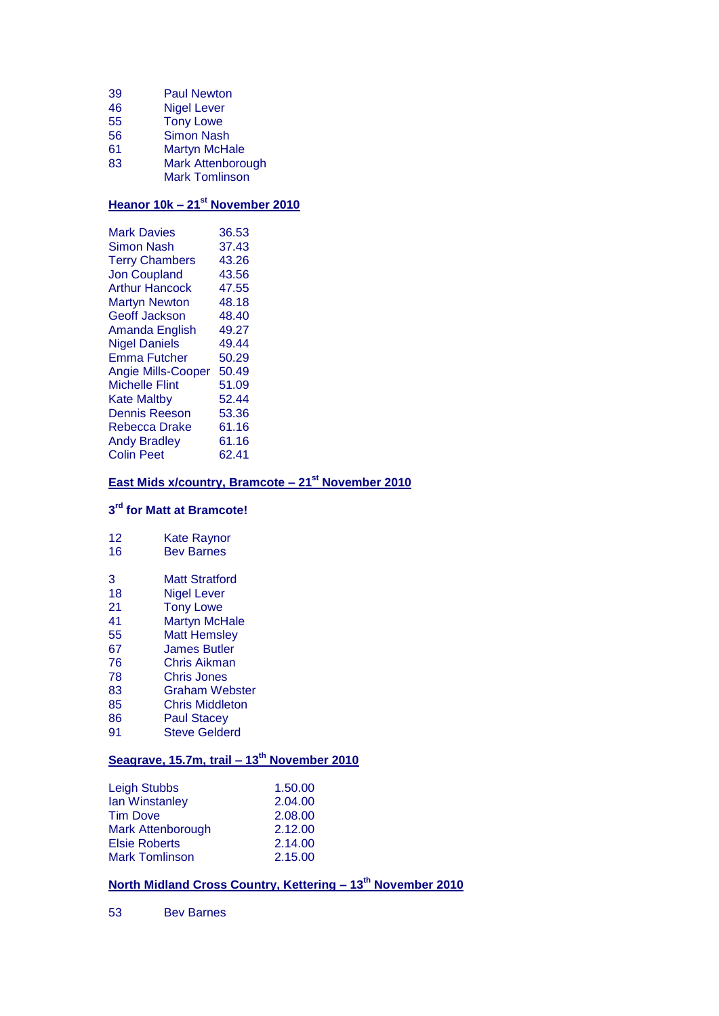- 39 Paul Newton
- 46 Nigel Lever
- 55 Tony Lowe
- 56 Simon Nash
- 61 Martyn McHale 83 Mark Attenborough
- Mark Tomlinson

# **Heanor 10k – 21st November 2010**

| 36.53 |
|-------|
| 37.43 |
| 43.26 |
| 43.56 |
| 47.55 |
| 48.18 |
| 48.40 |
| 49.27 |
| 49.44 |
| 50.29 |
| 50.49 |
| 51.09 |
| 52.44 |
| 53.36 |
| 61.16 |
| 61.16 |
| 62.41 |
|       |

# **East Mids x/country, Bramcote – 21st November 2010**

#### **3 rd for Matt at Bramcote!**

| 12 | <b>Kate Raynor</b> |  |
|----|--------------------|--|
|    |                    |  |

- 16 Bev Barnes
- 3 Matt Stratford
- 18 Nigel Lever<br>21 Tony Lowe
- 21 Tony Lowe<br>41 Martyn McH
- Martyn McHale
- 55 Matt Hemsley
- 67 James Butler
- 76 Chris Aikman
- 78 Chris Jones
- 83 Graham Webster
- 85 Chris Middleton
- 86 Paul Stacey<br>91 Steve Gelde **Steve Gelderd**

# **Seagrave, 15.7m, trail – 13th November 2010**

| 1.50.00 |
|---------|
| 2.04.00 |
| 2.08.00 |
| 2.12.00 |
| 2.14.00 |
| 2.15.00 |
|         |

# **North Midland Cross Country, Kettering – 13th November 2010**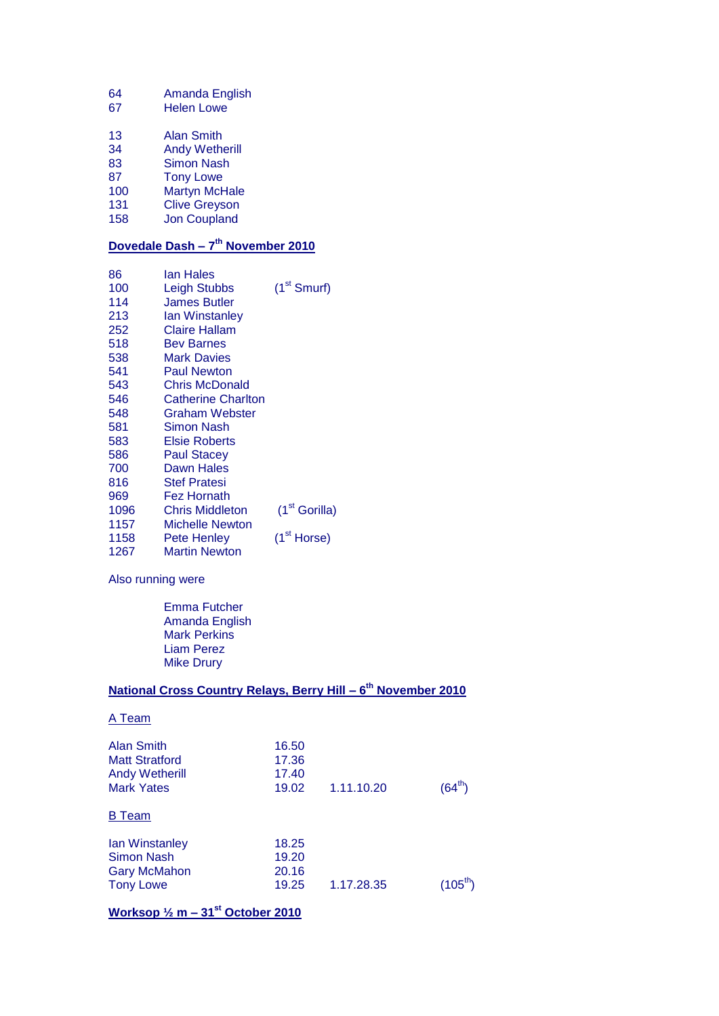- 64 Amanda English
- 67 Helen Lowe
- 13 Alan Smith
- 34 Andy Wetherill
- 83 Simon Nash
- 87 Tony Lowe<br>100 Martyn McH
- 100 Martyn McHale<br>131 Clive Greyson
- 131 Clive Greyson<br>158 Jon Coupland
- Jon Coupland

#### **Dovedale Dash – 7 th November 2010**

| 86   | lan Hales                 |                           |
|------|---------------------------|---------------------------|
| 100  | <b>Leigh Stubbs</b>       | $(1st$ Smurf)             |
| 114  | <b>James Butler</b>       |                           |
| 213  | lan Winstanley            |                           |
| 252  | Claire Hallam             |                           |
| 518  | <b>Bev Barnes</b>         |                           |
| 538  | Mark Davies               |                           |
| 541  | <b>Paul Newton</b>        |                           |
| 543  | <b>Chris McDonald</b>     |                           |
| 546  | <b>Catherine Charlton</b> |                           |
| 548  | Graham Webster            |                           |
| 581  | Simon Nash                |                           |
| 583  | Elsie Roberts             |                           |
| 586  | <b>Paul Stacey</b>        |                           |
| 700  | Dawn Hales                |                           |
| 816  | <b>Stef Pratesi</b>       |                           |
| 969  | Fez Hornath               |                           |
| 1096 | Chris Middleton           | (1 <sup>st</sup> Gorilla) |
| 1157 | Michelle Newton           |                           |
| 1158 | Pete Henley               | (1 <sup>st</sup> Horse)   |
| 1267 | Martin Newton             |                           |

Also running were

Emma Futcher Amanda English Mark Perkins Liam Perez Mike Drury

#### **National Cross Country Relays, Berry Hill – 6 th November 2010**

| A Team                                                                                   |                                  |            |             |
|------------------------------------------------------------------------------------------|----------------------------------|------------|-------------|
| <b>Alan Smith</b><br><b>Matt Stratford</b><br><b>Andy Wetherill</b><br><b>Mark Yates</b> | 16.50<br>17.36<br>17.40<br>19.02 | 1.11.10.20 | $(64^{th})$ |
| Team<br>в                                                                                |                                  |            |             |
| lan Winstanley<br>Simon Nash<br><b>Gary McMahon</b><br><b>Tony Lowe</b>                  | 18.25<br>19.20<br>20.16<br>19.25 | 1.17.28.35 |             |
| Worksop $\frac{1}{2}$ m – 31 <sup>st</sup> October 2010                                  |                                  |            |             |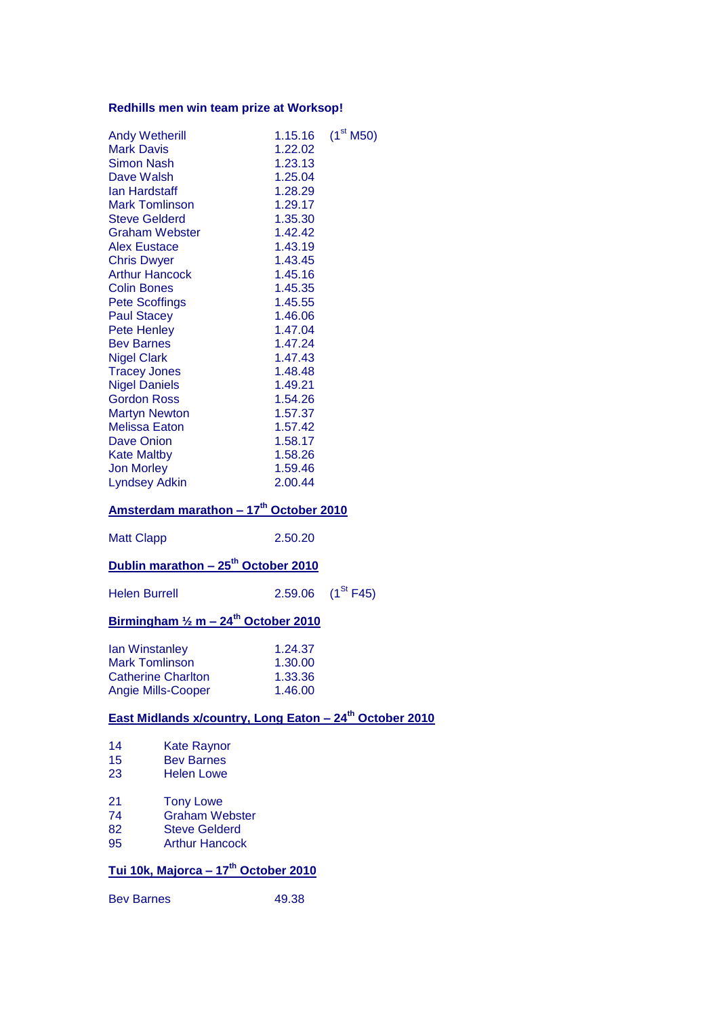# **Redhills men win team prize at Worksop!**

| <b>Andy Wetherill</b><br><b>Mark Davis</b><br><b>Simon Nash</b><br>Dave Walsh<br>lan Hardstaff<br><b>Mark Tomlinson</b><br><b>Steve Gelderd</b><br><b>Graham Webster</b><br><b>Alex Eustace</b><br><b>Chris Dwyer</b><br><b>Arthur Hancock</b><br><b>Colin Bones</b><br><b>Pete Scoffings</b><br><b>Paul Stacey</b><br><b>Pete Henley</b><br><b>Bev Barnes</b><br><b>Nigel Clark</b><br><b>Tracey Jones</b><br><b>Nigel Daniels</b><br><b>Gordon Ross</b><br><b>Martyn Newton</b><br><b>Melissa Eaton</b><br><b>Dave Onion</b><br><b>Kate Maltby</b><br><b>Jon Morley</b><br><b>Lyndsey Adkin</b> | Amsterdam marathon - 17th October 2010                       | 1.22.02<br>1.23.13<br>1.25.04<br>1.28.29<br>1.29.17<br>1.35.30<br>1.42.42<br>1.43.19<br>1.43.45<br>1.45.16<br>1.45.35<br>1.45.55<br>1.46.06<br>1.47.04<br>1.47.24<br>1.47.43<br>1.48.48<br>1.49.21<br>1.54.26<br>1.57.37<br>1.57.42<br>1.58.17<br>1.58.26<br>1.59.46<br>2.00.44 | 1.15.16 $(1^{\text{st}} M50)$                                             |
|---------------------------------------------------------------------------------------------------------------------------------------------------------------------------------------------------------------------------------------------------------------------------------------------------------------------------------------------------------------------------------------------------------------------------------------------------------------------------------------------------------------------------------------------------------------------------------------------------|--------------------------------------------------------------|---------------------------------------------------------------------------------------------------------------------------------------------------------------------------------------------------------------------------------------------------------------------------------|---------------------------------------------------------------------------|
| <b>Matt Clapp</b>                                                                                                                                                                                                                                                                                                                                                                                                                                                                                                                                                                                 |                                                              | 2.50.20                                                                                                                                                                                                                                                                         |                                                                           |
|                                                                                                                                                                                                                                                                                                                                                                                                                                                                                                                                                                                                   | Dublin marathon - 25 <sup>th</sup> October 2010              |                                                                                                                                                                                                                                                                                 |                                                                           |
| <b>Helen Burrell</b>                                                                                                                                                                                                                                                                                                                                                                                                                                                                                                                                                                              |                                                              |                                                                                                                                                                                                                                                                                 | 2.59.06 $(1^{St}$ F45)                                                    |
|                                                                                                                                                                                                                                                                                                                                                                                                                                                                                                                                                                                                   | Birmingham $\frac{1}{2}$ m - 24 <sup>th</sup> October 2010   |                                                                                                                                                                                                                                                                                 |                                                                           |
| <b>lan Winstanley</b><br><b>Mark Tomlinson</b>                                                                                                                                                                                                                                                                                                                                                                                                                                                                                                                                                    |                                                              | 1.24.37<br>1.30.00                                                                                                                                                                                                                                                              |                                                                           |
| <b>Catherine Charlton</b><br><b>Angie Mills-Cooper</b>                                                                                                                                                                                                                                                                                                                                                                                                                                                                                                                                            |                                                              | 1.33.36<br>1.46.00                                                                                                                                                                                                                                                              |                                                                           |
|                                                                                                                                                                                                                                                                                                                                                                                                                                                                                                                                                                                                   |                                                              |                                                                                                                                                                                                                                                                                 | <u>East Midlands x/country, Long Eaton - 24<sup>th</sup> October 2010</u> |
| 14<br>15<br>23                                                                                                                                                                                                                                                                                                                                                                                                                                                                                                                                                                                    | <b>Kate Raynor</b><br><b>Bev Barnes</b><br><b>Helen Lowe</b> |                                                                                                                                                                                                                                                                                 |                                                                           |

# **Tui 10k, Majorca – 17th October 2010**

Bev Barnes 19.38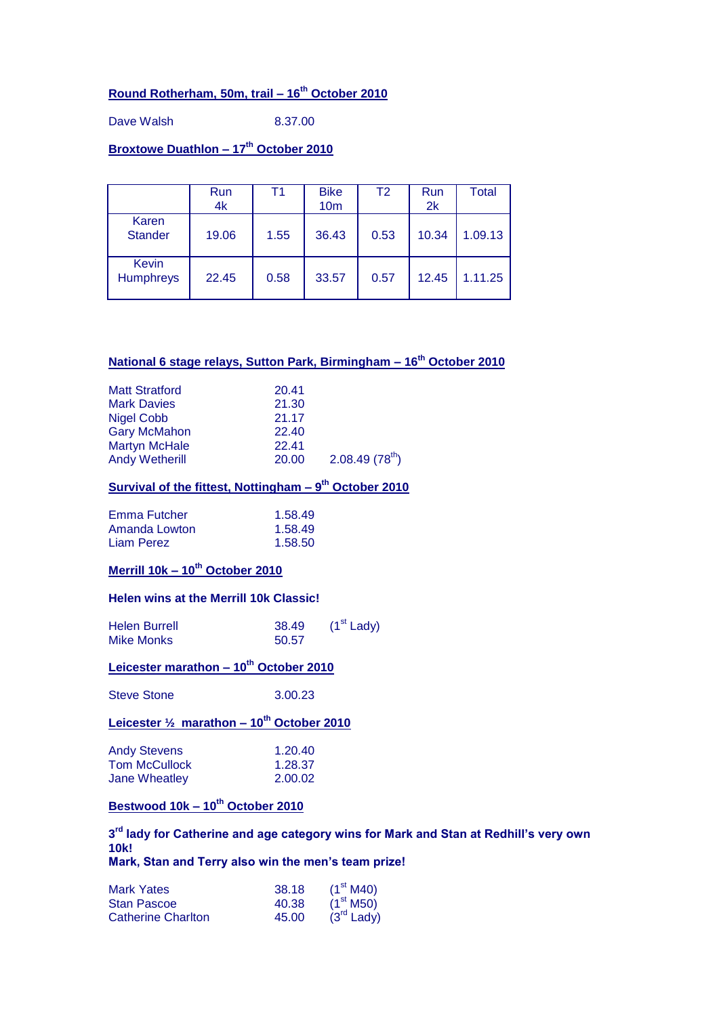# **Round Rotherham, 50m, trail – 16th October 2010**

Dave Walsh 8.37.00

# **Broxtowe Duathlon – 17th October 2010**

|                                  | Run<br>4k | Τ1   | <b>Bike</b><br>10 <sub>m</sub> | T <sub>2</sub> | Run<br>2k | <b>Total</b> |
|----------------------------------|-----------|------|--------------------------------|----------------|-----------|--------------|
| Karen<br><b>Stander</b>          | 19.06     | 1.55 | 36.43                          | 0.53           | 10.34     | 1.09.13      |
| <b>Kevin</b><br><b>Humphreys</b> | 22.45     | 0.58 | 33.57                          | 0.57           | 12.45     | 1.11.25      |

#### **National 6 stage relays, Sutton Park, Birmingham – 16th October 2010**

| <b>Matt Stratford</b> | 20.41 |                            |
|-----------------------|-------|----------------------------|
| <b>Mark Davies</b>    | 21.30 |                            |
| Nigel Cobb            | 21.17 |                            |
| <b>Gary McMahon</b>   | 22.40 |                            |
| <b>Martyn McHale</b>  | 22.41 |                            |
| <b>Andy Wetherill</b> | 20.00 | 2.08.49(78 <sup>th</sup> ) |

#### **Survival of the fittest, Nottingham – 9 th October 2010**

| Emma Futcher  | 1.58.49 |
|---------------|---------|
| Amanda Lowton | 1.58.49 |
| Liam Perez    | 1.58.50 |

### **Merrill 10k – 10th October 2010**

#### **Helen wins at the Merrill 10k Classic!**

| <b>Helen Burrell</b> | 38.49 | $(1st$ Lady) |
|----------------------|-------|--------------|
| <b>Mike Monks</b>    | 50.57 |              |

#### **Leicester marathon – 10th October 2010**

Steve Stone 3.00.23

### **Leicester ½ marathon – 10th October 2010**

| Andy Stevens  | 1.20.40 |
|---------------|---------|
| Tom McCullock | 1.28.37 |
| Jane Wheatley | 2.00.02 |

### **Bestwood 10k – 10th October 2010**

#### **3 rd lady for Catherine and age category wins for Mark and Stan at Redhill's very own 10k! Mark, Stan and Terry also win the men's team prize!**

Mark Yates 38.18 (1<sup>st</sup> M40)<br>Stan Pascoe 40.38 (1<sup>st</sup> M50) Stan Pascoe  $40.38$   $(1^{\text{st}} \text{ M50})$ <br>Catherine Charlton  $45.00$   $(3^{\text{rd}} \text{ Ladv})$ Catherine Charlton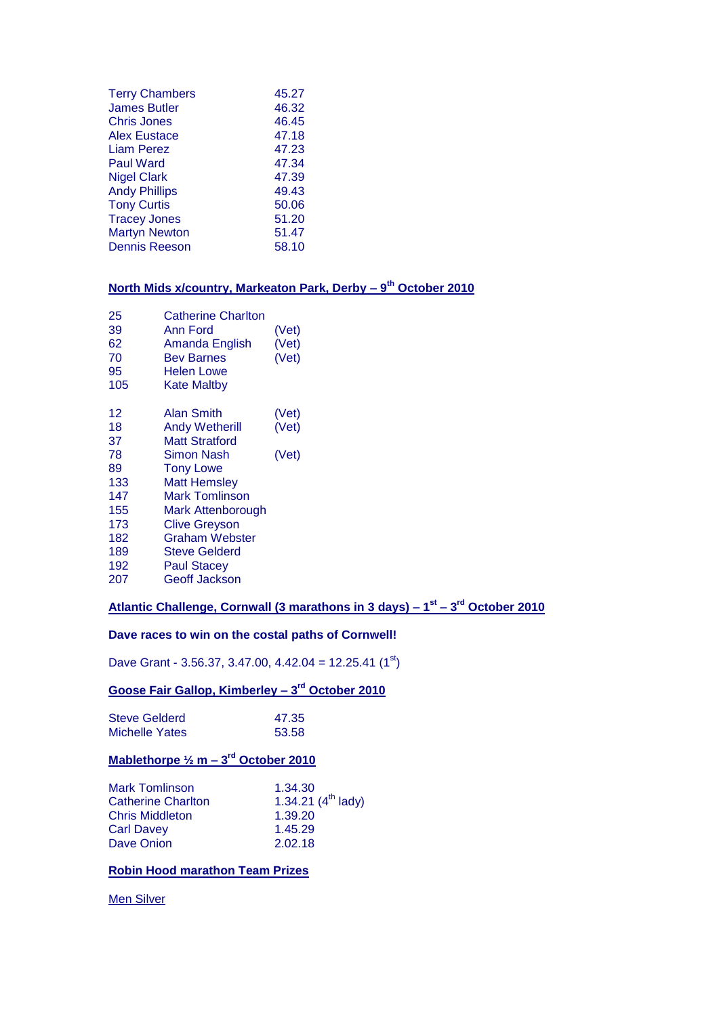| <b>Terry Chambers</b> | 45.27 |
|-----------------------|-------|
| <b>James Butler</b>   | 46.32 |
| Chris Jones           | 46.45 |
| <b>Alex Eustace</b>   | 47.18 |
| Liam Perez            | 47.23 |
| <b>Paul Ward</b>      | 47.34 |
| <b>Nigel Clark</b>    | 47.39 |
| <b>Andy Phillips</b>  | 49.43 |
| <b>Tony Curtis</b>    | 50.06 |
| <b>Tracey Jones</b>   | 51.20 |
| <b>Martyn Newton</b>  | 51.47 |
| <b>Dennis Reeson</b>  | 58.10 |
|                       |       |

#### **North Mids x/country, Markeaton Park, Derby – 9 th October 2010**

| 25<br>39<br>62<br>70<br>95<br>105 | <b>Catherine Charlton</b><br>Ann Ford<br>Amanda English<br>Bev Barnes<br><b>Helen Lowe</b><br>Kate Maltby | (Vet)<br>(Vet)<br>(Vet) |
|-----------------------------------|-----------------------------------------------------------------------------------------------------------|-------------------------|
| 12                                | <b>Alan Smith</b>                                                                                         | (Vet)                   |
| 18                                | <b>Andy Wetherill</b>                                                                                     | (Vet)                   |
| 37                                | <b>Matt Stratford</b>                                                                                     |                         |
| 78                                | <b>Simon Nash</b>                                                                                         | (Vet)                   |
| 89                                | <b>Tony Lowe</b>                                                                                          |                         |
| 133                               | Matt Hemslev                                                                                              |                         |
| 147                               | Mark Tomlinson                                                                                            |                         |
| 155                               | Mark Attenborough                                                                                         |                         |
| 173                               | <b>Clive Greyson</b>                                                                                      |                         |
| 182                               | <b>Graham Webster</b>                                                                                     |                         |
| 189                               | <b>Steve Gelderd</b>                                                                                      |                         |
| 192                               | <b>Paul Stacey</b>                                                                                        |                         |
| 207                               | Geoff Jackson                                                                                             |                         |
|                                   |                                                                                                           |                         |

#### **Atlantic Challenge, Cornwall (3 marathons in 3 days) – 1 st – 3 rd October 2010**

#### **Dave races to win on the costal paths of Cornwell!**

Dave Grant - 3.56.37, 3.47.00, 4.42.04 = 12.25.41  $(1^{st})$ 

#### **Goose Fair Gallop, Kimberley – 3 rd October 2010**

| Steve Gelderd         | 47.35 |
|-----------------------|-------|
| <b>Michelle Yates</b> | 53.58 |

### **Mablethorpe ½ m – 3 rd October 2010**

| <b>Mark Tomlinson</b>     | 1.34.30                 |
|---------------------------|-------------------------|
| <b>Catherine Charlton</b> | 1.34.21 $(4^{th}$ lady) |
| <b>Chris Middleton</b>    | 1.39.20                 |
| <b>Carl Davey</b>         | 1.45.29                 |
| Dave Onion                | 2.02.18                 |
|                           |                         |

#### **Robin Hood marathon Team Prizes**

**Men Silver**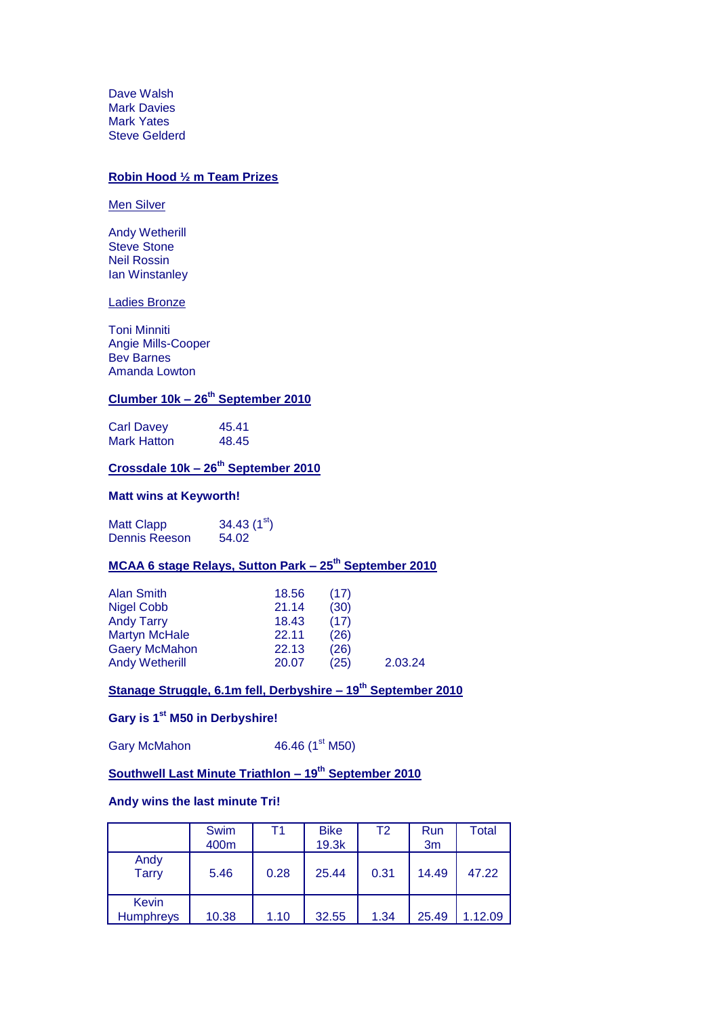Dave Walsh Mark Davies Mark Yates Steve Gelderd

#### **Robin Hood ½ m Team Prizes**

Men Silver

Andy Wetherill Steve Stone Neil Rossin **Ian Winstanley** 

Ladies Bronze

Toni Minniti Angie Mills-Cooper Bev Barnes Amanda Lowton

#### **Clumber 10k – 26th September 2010**

Carl Davey 45.41 Mark Hatton 48.45

### **Crossdale 10k – 26th September 2010**

#### **Matt wins at Keyworth!**

Matt Clapp  $34.43$  (1st)<br>Dennis Reeson  $54.02$ Dennis Reeson

# **MCAA 6 stage Relays, Sutton Park – 25th September 2010**

| <b>Alan Smith</b>     | 18.56 | (17) |         |
|-----------------------|-------|------|---------|
| <b>Nigel Cobb</b>     | 21.14 | (30) |         |
| <b>Andy Tarry</b>     | 18.43 | (17) |         |
| <b>Martyn McHale</b>  | 22.11 | (26) |         |
| <b>Gaery McMahon</b>  | 22.13 | (26) |         |
| <b>Andy Wetherill</b> | 20.07 | (25) | 2.03.24 |

# **Stanage Struggle, 6.1m fell, Derbyshire – 19th September 2010**

### **Gary is 1st M50 in Derbyshire!**

Gary McMahon  $46.46 (1<sup>st</sup> M50)$ 

# **Southwell Last Minute Triathlon – 19th September 2010**

#### **Andy wins the last minute Tri!**

|                                  | Swim<br>400m | Т1   | <b>Bike</b><br>19.3k | T2   | Run<br>3 <sub>m</sub> | <b>Total</b> |
|----------------------------------|--------------|------|----------------------|------|-----------------------|--------------|
| Andy<br><b>Tarry</b>             | 5.46         | 0.28 | 25.44                | 0.31 | 14.49                 | 47.22        |
| <b>Kevin</b><br><b>Humphreys</b> | 10.38        | 1.10 | 32.55                | 1.34 | 25.49                 | 1.12.09      |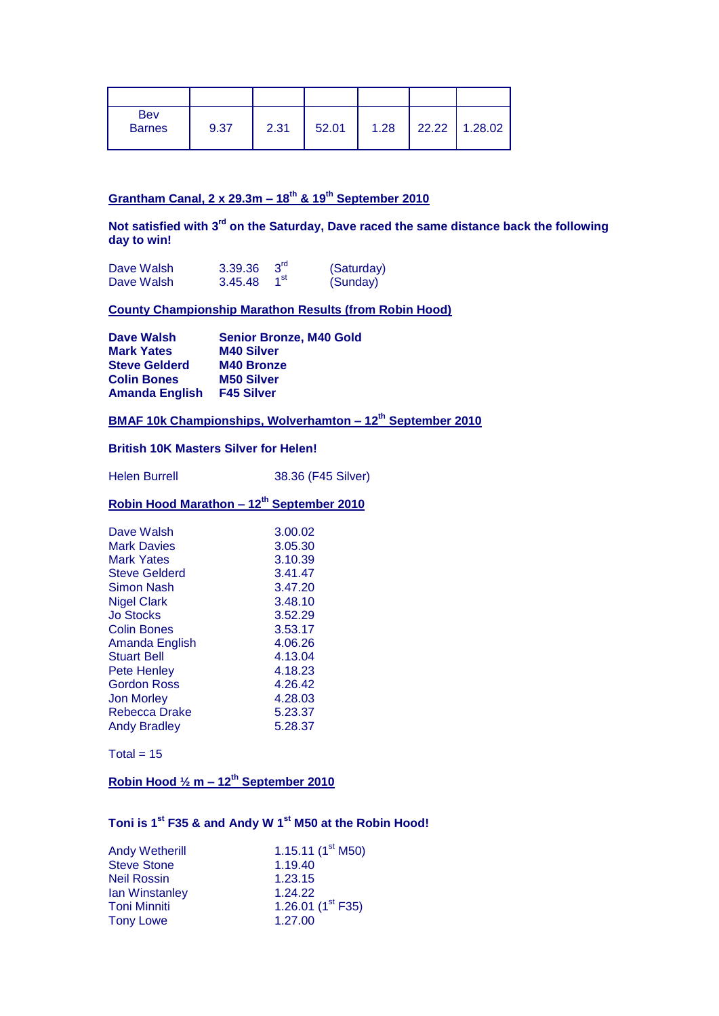| <b>Bev</b><br><b>Barnes</b> | 9.37 | 2.31 | 52.01 | 1.28 | 22.22 1.28.02 |
|-----------------------------|------|------|-------|------|---------------|

#### **Grantham Canal, 2 x 29.3m – 18th & 19th September 2010**

**Not satisfied with 3rd on the Saturday, Dave raced the same distance back the following day to win!**

| Dave Walsh | 3.39.36 $3^{\text{rd}}$ |                 | (Saturday) |
|------------|-------------------------|-----------------|------------|
| Dave Walsh | 3.45.48                 | 1 <sup>st</sup> | (Sunday)   |

#### **County Championship Marathon Results (from Robin Hood)**

**Dave Walsh Senior Bronze, M40 Gold**<br> **Mark Yates** M40 Silver **Mark Yates Steve Gelderd M40 Bronze Colin Bones M50 Silver Amanda English F45 Silver**

### **BMAF 10k Championships, Wolverhamton – 12th September 2010**

#### **British 10K Masters Silver for Helen!**

Helen Burrell 38.36 (F45 Silver)

### **Robin Hood Marathon – 12th September 2010**

| Dave Walsh         | 3.00.02 |
|--------------------|---------|
| <b>Mark Davies</b> | 3.05.30 |
| Mark Yates         | 3.10.39 |
| Steve Gelderd      | 3.41.47 |
| <b>Simon Nash</b>  | 3.47.20 |
| Nigel Clark        | 3.48.10 |
| Jo Stocks          | 3.52.29 |
| Colin Bones        | 3.53.17 |
| Amanda English     | 4.06.26 |
| Stuart Bell        | 4.13.04 |
| Pete Henley        | 4.18.23 |
| Gordon Ross        | 4.26.42 |
| Jon Morley         | 4.28.03 |
| Rebecca Drake      | 5.23.37 |
| Andy Bradlev       | 5.28.37 |

 $Total = 15$ 

### **Robin Hood ½ m – 12th September 2010**

# **Toni is 1st F35 & and Andy W 1st M50 at the Robin Hood!**

| <b>Andy Wetherill</b> | 1.15.11 $(1^{\text{st}}$ M50) |
|-----------------------|-------------------------------|
| <b>Steve Stone</b>    | 1.19.40                       |
| <b>Neil Rossin</b>    | 1.23.15                       |
| <b>lan Winstanley</b> | 1.24.22                       |
| <b>Toni Minniti</b>   | 1.26.01 $(1^{\text{st}}$ F35) |
| <b>Tony Lowe</b>      | 1.27.00                       |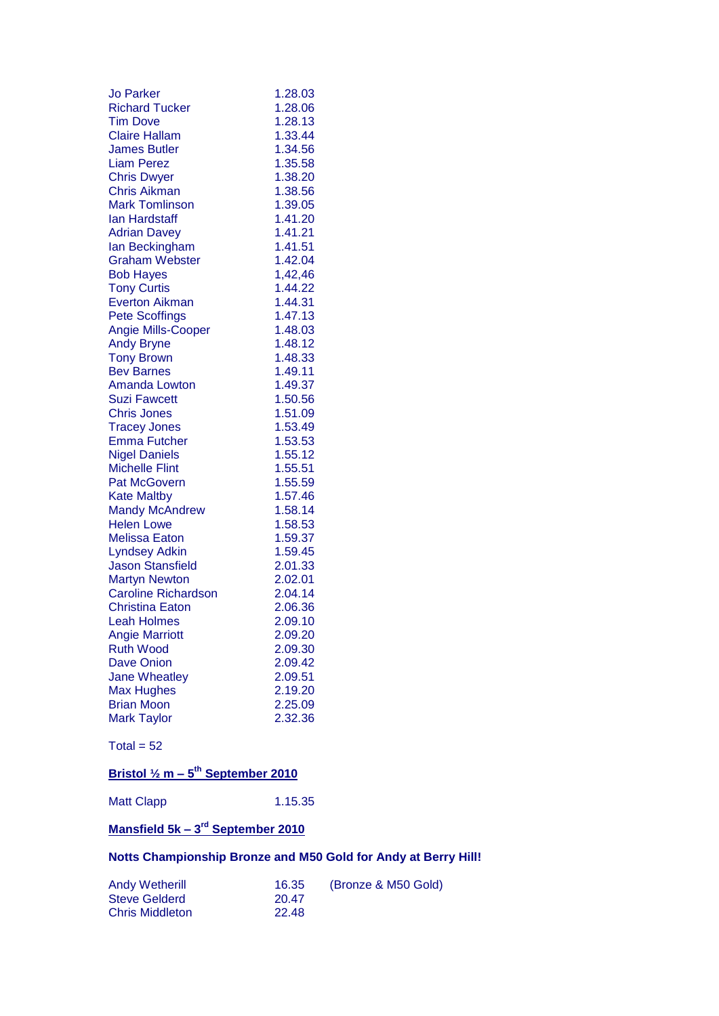| <b>Jo Parker</b>           | 1.28.03 |
|----------------------------|---------|
| <b>Richard Tucker</b>      | 1.28.06 |
| <b>Tim Dove</b>            | 1.28.13 |
| <b>Claire Hallam</b>       | 1.33.44 |
| <b>James Butler</b>        | 1.34.56 |
| <b>Liam Perez</b>          | 1.35.58 |
| <b>Chris Dwyer</b>         | 1.38.20 |
| <b>Chris Aikman</b>        | 1.38.56 |
| <b>Mark Tomlinson</b>      | 1.39.05 |
| lan Hardstaff              | 1.41.20 |
| <b>Adrian Davey</b>        | 1.41.21 |
| lan Beckingham             | 1.41.51 |
| <b>Graham Webster</b>      | 1.42.04 |
| <b>Bob Hayes</b>           | 1,42,46 |
| <b>Tony Curtis</b>         | 1.44.22 |
| <b>Everton Aikman</b>      | 1.44.31 |
| <b>Pete Scoffings</b>      | 1.47.13 |
| <b>Angie Mills-Cooper</b>  | 1.48.03 |
| <b>Andy Bryne</b>          | 1.48.12 |
| <b>Tony Brown</b>          | 1.48.33 |
| <b>Bev Barnes</b>          | 1.49.11 |
| Amanda Lowton              | 1.49.37 |
| Suzi Fawcett               | 1.50.56 |
| <b>Chris Jones</b>         | 1.51.09 |
| <b>Tracey Jones</b>        | 1.53.49 |
| <b>Emma Futcher</b>        | 1.53.53 |
| <b>Nigel Daniels</b>       | 1.55.12 |
| <b>Michelle Flint</b>      | 1.55.51 |
| <b>Pat McGovern</b>        | 1.55.59 |
| <b>Kate Maltby</b>         | 1.57.46 |
| <b>Mandy McAndrew</b>      | 1.58.14 |
| <b>Helen Lowe</b>          | 1.58.53 |
| <b>Melissa Eaton</b>       | 1.59.37 |
| <b>Lyndsey Adkin</b>       | 1.59.45 |
| <b>Jason Stansfield</b>    | 2.01.33 |
| <b>Martyn Newton</b>       | 2.02.01 |
| <b>Caroline Richardson</b> | 2.04.14 |
| <b>Christina Eaton</b>     | 2.06.36 |
| <b>Leah Holmes</b>         | 2.09.10 |
| <b>Angie Marriott</b>      | 2.09.20 |
| <b>Ruth Wood</b>           | 2.09.30 |
| <b>Dave Onion</b>          | 2.09.42 |
| <b>Jane Wheatley</b>       | 2.09.51 |
| <b>Max Hughes</b>          | 2.19.20 |
| <b>Brian Moon</b>          | 2.25.09 |
| <b>Mark Taylor</b>         | 2.32.36 |
|                            |         |

Total =  $52$ 

#### **Bristol ½ m – 5 th September 2010**

Matt Clapp 1.15.35

#### **Mansfield 5k – 3 rd September 2010**

# **Notts Championship Bronze and M50 Gold for Andy at Berry Hill!**

| <b>Andy Wetherill</b>  | 16.35 | (Bronze & M50 Gold) |
|------------------------|-------|---------------------|
| <b>Steve Gelderd</b>   | 20.47 |                     |
| <b>Chris Middleton</b> | 22.48 |                     |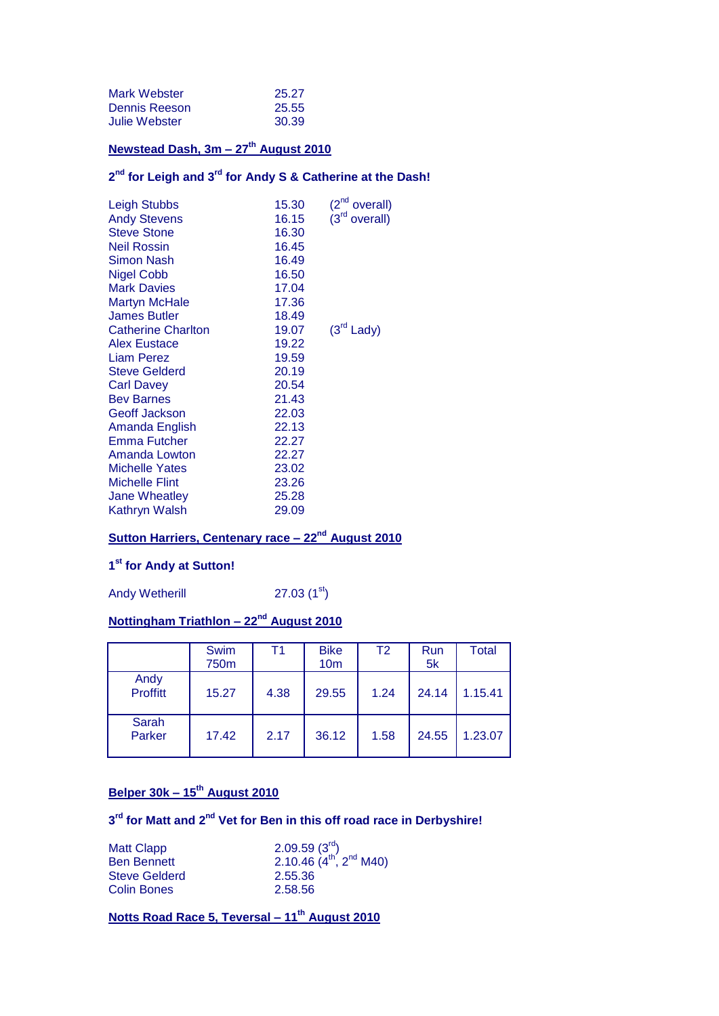| Mark Webster  | 25.27 |
|---------------|-------|
| Dennis Reeson | 25.55 |
| Julie Webster | 30.39 |

# **Newstead Dash, 3m – 27th August 2010**

#### **2 nd for Leigh and 3rd for Andy S & Catherine at the Dash!**

| <b>Leigh Stubbs</b>       | 15.30 | (2 <sup>nd</sup><br>overall) |
|---------------------------|-------|------------------------------|
| <b>Andy Stevens</b>       | 16.15 | $(3rd$ overall)              |
| <b>Steve Stone</b>        | 16.30 |                              |
| <b>Neil Rossin</b>        | 16.45 |                              |
| <b>Simon Nash</b>         | 16.49 |                              |
| <b>Nigel Cobb</b>         | 16.50 |                              |
| <b>Mark Davies</b>        | 17.04 |                              |
| <b>Martyn McHale</b>      | 17.36 |                              |
| <b>James Butler</b>       | 18.49 |                              |
| <b>Catherine Charlton</b> | 19.07 | $(3rd$ Lady)                 |
| Alex Eustace              | 19.22 |                              |
| <b>Liam Perez</b>         | 19.59 |                              |
| <b>Steve Gelderd</b>      | 20.19 |                              |
| <b>Carl Davey</b>         | 20.54 |                              |
| <b>Bev Barnes</b>         | 21.43 |                              |
| <b>Geoff Jackson</b>      | 22.03 |                              |
| Amanda English            | 22.13 |                              |
| Emma Futcher              | 22.27 |                              |
| Amanda Lowton             | 22.27 |                              |
| <b>Michelle Yates</b>     | 23.02 |                              |
| <b>Michelle Flint</b>     | 23.26 |                              |
| Jane Wheatley             | 25.28 |                              |
| Kathryn Walsh             | 29.09 |                              |
|                           |       |                              |

# **Sutton Harriers, Centenary race – 22nd August 2010**

#### **1 st for Andy at Sutton!**

Andy Wetherill 27.03  $(1<sup>st</sup>)$ 

# **Nottingham Triathlon – 22nd August 2010**

|                         | Swim<br>750m | Τ1   | <b>Bike</b><br>10 <sub>m</sub> | T <sub>2</sub> | Run<br>5k | <b>Total</b> |
|-------------------------|--------------|------|--------------------------------|----------------|-----------|--------------|
| Andy<br><b>Proffitt</b> | 15.27        | 4.38 | 29.55                          | 1.24           | 24.14     | 1.15.41      |
| Sarah<br>Parker         | 17.42        | 2.17 | 36.12                          | 1.58           | 24.55     | 1.23.07      |

# **Belper 30k – 15th August 2010**

#### **3 rd for Matt and 2nd Vet for Ben in this off road race in Derbyshire!**

| <b>Matt Clapp</b>    | 2.09.59(3 <sup>rd</sup> )      |
|----------------------|--------------------------------|
| <b>Ben Bennett</b>   | 2.10.46 $(4^{th}, 2^{nd}$ M40) |
| <b>Steve Gelderd</b> | 2.55.36                        |
| <b>Colin Bones</b>   | 2.58.56                        |

**Notts Road Race 5, Teversal – 11th August 2010**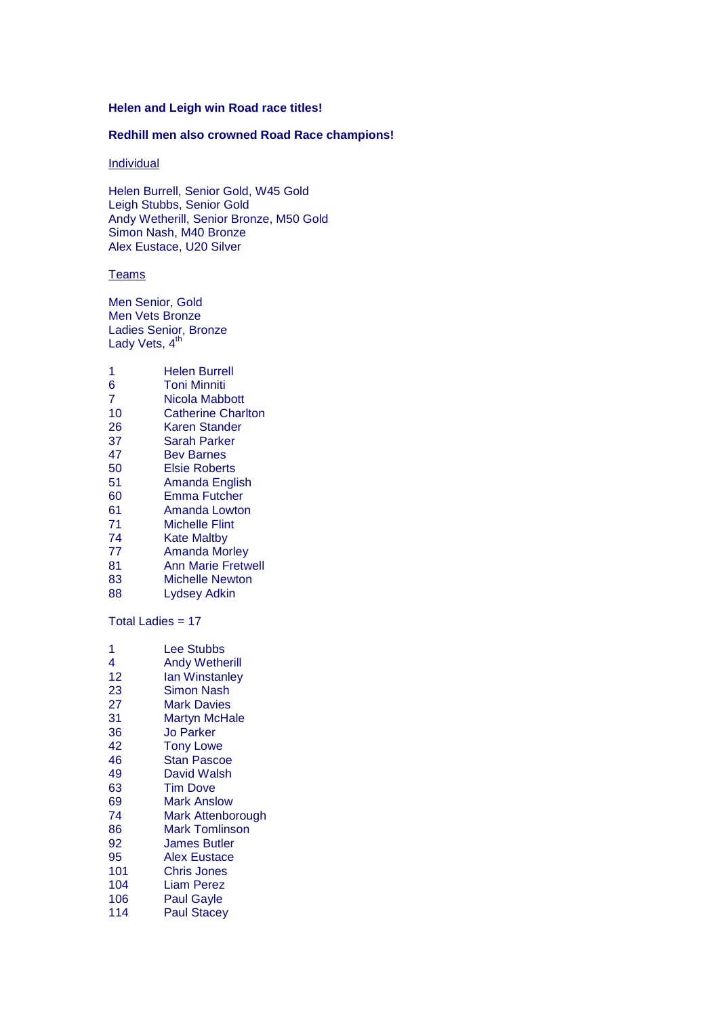#### **Helen and Leigh win Road race titles!**

#### **Redhill men also crowned Road Race champions!**

#### **Individual**

Helen Burrell, Senior Gold, W45 Gold Leigh Stubbs, Senior Gold Andy Wetherill, Senior Bronze, M50 Gold Simon Nash, M40 Bronze Alex Eustace, U20 Silver

#### **Teams**

Men Senior, Gold Men Vets Bronze Ladies Senior, Bronze Lady Vets, 4<sup>th</sup>

| 1              | Helen Burrell             |
|----------------|---------------------------|
| 6              | <b>Toni Minniti</b>       |
| $\overline{7}$ | Nicola Mabbott            |
| 10             | <b>Catherine Charlton</b> |
| 26             | Karen Stander             |
| 37             | <b>Sarah Parker</b>       |
| 47             | Bev Barnes                |
| 50             | <b>Elsie Roberts</b>      |
| 51             | Amanda English            |
| 60             | Emma Futcher              |
| 61             | Amanda Lowton             |
| 71             | Michelle Flint            |
| 74             | Kate Maltby               |
| 77             | Amanda Morley             |
| 81             | <b>Ann Marie Fretwell</b> |
| 83             | Michelle Newton           |
|                |                           |

Lydsey Adkin

Total Ladies = 17

| 1   | Lee Stubbs            |
|-----|-----------------------|
| 4   | <b>Andy Wetherill</b> |
| 12  | lan Winstanley        |
| 23  | Simon Nash            |
| 27  | Mark Davies           |
| 31  | <b>Martyn McHale</b>  |
| 36  | <b>Jo Parker</b>      |
| 42  | <b>Tony Lowe</b>      |
| 46  | <b>Stan Pascoe</b>    |
| 49  | David Walsh           |
| 63  | <b>Tim Dove</b>       |
| 69  | Mark Anslow           |
| 74  | Mark Attenborough     |
| 86  | <b>Mark Tomlinson</b> |
| 92  | James Butler          |
| 95  | Alex Eustace          |
| 101 | Chris Jones           |
| 104 | <b>Liam Perez</b>     |
| 106 | <b>Paul Gayle</b>     |
| 114 | <b>Paul Stacey</b>    |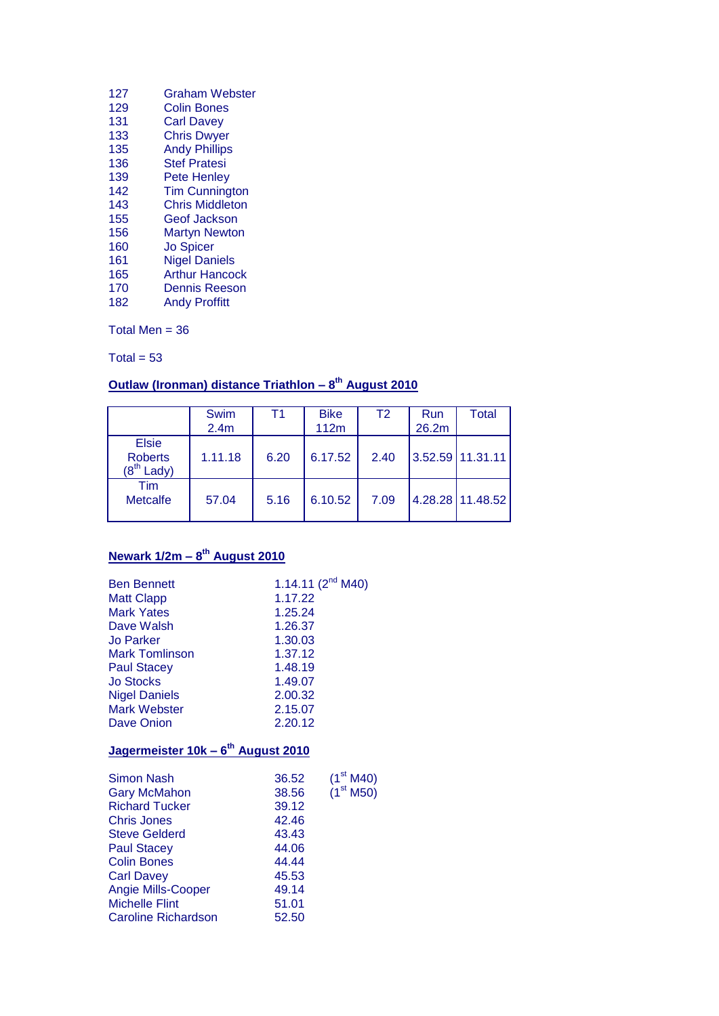| 127 | <b>Graham Webster</b>  |
|-----|------------------------|
| 129 | Colin Bones            |
| 131 | <b>Carl Davey</b>      |
| 133 | <b>Chris Dwyer</b>     |
| 135 | <b>Andy Phillips</b>   |
| 136 | <b>Stef Pratesi</b>    |
| 139 | <b>Pete Henley</b>     |
| 142 | <b>Tim Cunnington</b>  |
| 143 | <b>Chris Middleton</b> |
| 155 | Geof Jackson           |
| 156 | <b>Martyn Newton</b>   |
| 160 | <b>Jo Spicer</b>       |
| 161 | <b>Nigel Daniels</b>   |
| 165 | <b>Arthur Hancock</b>  |
| 170 | <b>Dennis Reeson</b>   |
| 182 | <b>Andy Proffitt</b>   |
|     |                        |

Total Men  $= 36$ 

Total =  $53$ 

#### **Outlaw (Ironman) distance Triathlon – 8 th August 2010**

|                                                | Swim<br>2.4 <sub>m</sub> | Τ1   | <b>Bike</b><br>112m | T2   | Run<br>26.2m | Total              |
|------------------------------------------------|--------------------------|------|---------------------|------|--------------|--------------------|
| <b>Elsie</b><br><b>Roberts</b><br>$(8th$ Lady) | 1.11.18                  | 6.20 | 6.17.52             | 2.40 |              | $3.52.59$ 11.31.11 |
| Tim<br><b>Metcalfe</b>                         | 57.04                    | 5.16 | 6.10.52             | 7.09 |              | 4.28.28 11.48.52   |

#### **Newark 1/2m – 8 th August 2010**

| <b>Ben Bennett</b>                             |         | 1.14.11 $(2^{nd} M40)$ |
|------------------------------------------------|---------|------------------------|
| <b>Matt Clapp</b>                              | 1.17.22 |                        |
| <b>Mark Yates</b>                              | 1.25.24 |                        |
| Dave Walsh                                     | 1.26.37 |                        |
| <b>Jo Parker</b>                               | 1.30.03 |                        |
| <b>Mark Tomlinson</b>                          | 1.37.12 |                        |
| <b>Paul Stacey</b>                             | 1.48.19 |                        |
| <b>Jo Stocks</b>                               | 1.49.07 |                        |
| <b>Nigel Daniels</b>                           | 2.00.32 |                        |
| <b>Mark Webster</b>                            | 2.15.07 |                        |
| Dave Onion                                     | 2.20.12 |                        |
| Jagermeister 10k - 6 <sup>th</sup> August 2010 |         |                        |
| <b>Simon Nash</b>                              | 36.52   | (1 <sup>st</sup> M40)  |
| <b>Gary McMahon</b>                            | 38.56   | (1 <sup>st</sup> M50)  |
| <b>Richard Tucker</b>                          | 39.12   |                        |
| <b>Chris Jones</b>                             | 42.46   |                        |
| <b>Steve Gelderd</b>                           | 43.43   |                        |
| <b>Paul Stacey</b>                             | 44.06   |                        |
| <b>Colin Bones</b>                             | 44.44   |                        |
| <b>Carl Davey</b>                              | 45.53   |                        |
| <b>Angie Mills-Cooper</b>                      | 49.14   |                        |
| <b>Michelle Flint</b>                          | 51.01   |                        |
| <b>Caroline Richardson</b>                     | 52.50   |                        |
|                                                |         |                        |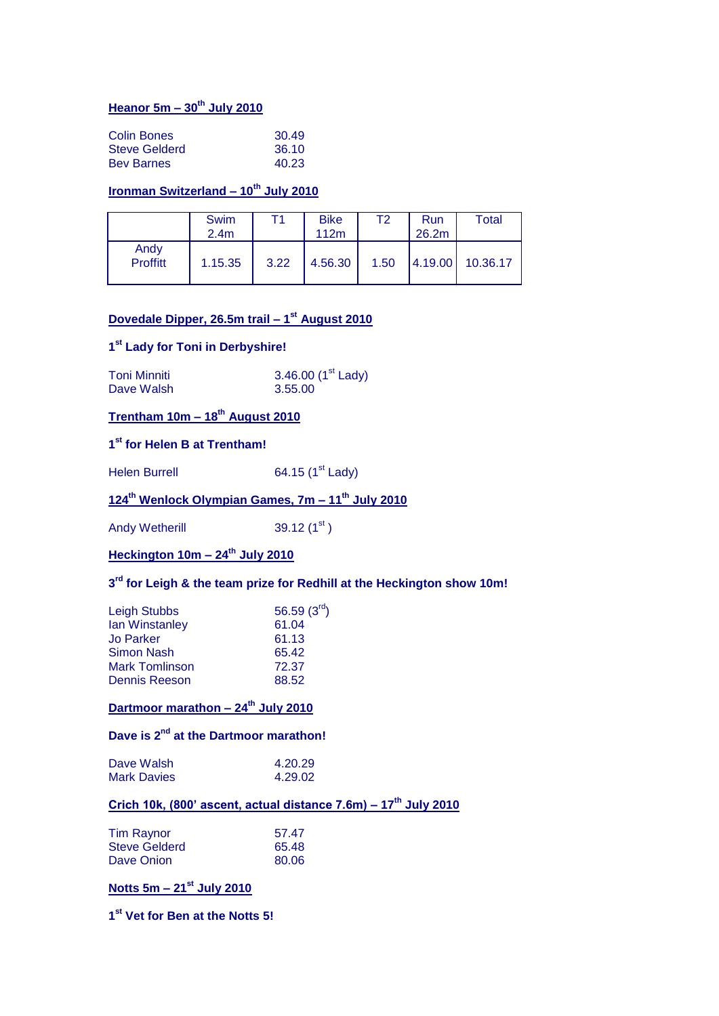# **Heanor 5m – 30th July 2010**

| Colin Bones          | 30.49 |
|----------------------|-------|
| <b>Steve Gelderd</b> | 36.10 |
| <b>Bev Barnes</b>    | 40.23 |

# **Ironman Switzerland – 10th July 2010**

|                  | Swim<br>2.4 <sub>m</sub> | Τ1   | <b>Bike</b><br>112m | Τ2   | Run<br>26.2m | Total            |
|------------------|--------------------------|------|---------------------|------|--------------|------------------|
| Andy<br>Proffitt | 1.15.35                  | 3.22 | 4.56.30             | 1.50 |              | 4.19.00 10.36.17 |

#### **Dovedale Dipper, 26.5m trail – 1 st August 2010**

#### **1 st Lady for Toni in Derbyshire!**

| <b>Toni Minniti</b> | 3.46.00 $(1st$ Lady) |
|---------------------|----------------------|
| Dave Walsh          | 3.55.00              |

# **Trentham 10m – 18th August 2010**

#### **1 st for Helen B at Trentham!**

Helen Burrell 64.15 (1<sup>st</sup> Lady)

# **124th Wenlock Olympian Games, 7m – 11th July 2010**

Andy Wetherill  $39.12 (1^{st})$ 

# **Heckington 10m – 24th July 2010**

#### **3 rd for Leigh & the team prize for Redhill at the Heckington show 10m!**

| 56.59 $(3^{\text{rd}})$ |
|-------------------------|
| 61.04                   |
| 61.13                   |
| 65.42                   |
| 72.37                   |
| 88.52                   |
|                         |

### **Dartmoor marathon – 24th July 2010**

# **Dave is 2nd at the Dartmoor marathon!**

| Dave Walsh         | 4.20.29 |
|--------------------|---------|
| <b>Mark Davies</b> | 4.29.02 |

# **Crich 10k, (800' ascent, actual distance 7.6m) – 17th July 2010**

| Tim Raynor    | 57.47 |
|---------------|-------|
| Steve Gelderd | 65.48 |
| Dave Onion    | 80.06 |

#### **Notts 5m – 21st July 2010**

**1 st Vet for Ben at the Notts 5!**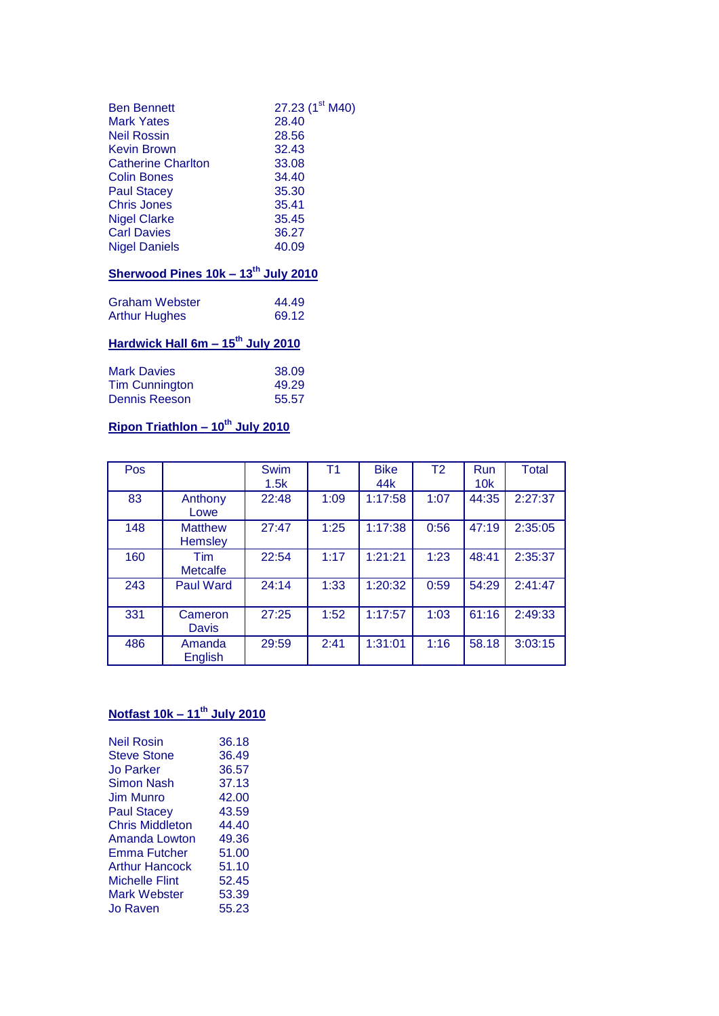| <b>Ben Bennett</b>        | 27.23 (1 <sup>st</sup> M40) |
|---------------------------|-----------------------------|
| <b>Mark Yates</b>         | 28.40                       |
| <b>Neil Rossin</b>        | 28.56                       |
| <b>Kevin Brown</b>        | 32.43                       |
| <b>Catherine Charlton</b> | 33.08                       |
| <b>Colin Bones</b>        | 34.40                       |
| <b>Paul Stacey</b>        | 35.30                       |
| <b>Chris Jones</b>        | 35.41                       |
| <b>Nigel Clarke</b>       | 35.45                       |
| <b>Carl Davies</b>        | 36.27                       |
| <b>Nigel Daniels</b>      | 40.09                       |
|                           |                             |

# **Sherwood Pines 10k – 13th July 2010**

| <b>Graham Webster</b> | 44.49 |
|-----------------------|-------|
| <b>Arthur Hughes</b>  | 69.12 |
|                       |       |

# **Hardwick Hall 6m – 15th July 2010**

| <b>Mark Davies</b>    | 38.09 |
|-----------------------|-------|
| <b>Tim Cunnington</b> | 49.29 |
| Dennis Reeson         | 55.57 |

# **Ripon Triathlon – 10th July 2010**

| Pos |                                  | Swim<br>1.5k | T1   | <b>Bike</b><br>44k | T <sub>2</sub> | Run<br>10k | <b>Total</b> |
|-----|----------------------------------|--------------|------|--------------------|----------------|------------|--------------|
| 83  | Anthony<br>Lowe                  | 22:48        | 1:09 | 1:17:58            | 1:07           | 44:35      | 2:27:37      |
| 148 | <b>Matthew</b><br><b>Hemsley</b> | 27:47        | 1:25 | 1:17:38            | 0:56           | 47:19      | 2:35:05      |
| 160 | Tim<br><b>Metcalfe</b>           | 22:54        | 1:17 | 1:21:21            | 1:23           | 48:41      | 2:35:37      |
| 243 | <b>Paul Ward</b>                 | 24:14        | 1:33 | 1:20:32            | 0:59           | 54:29      | 2:41:47      |
| 331 | Cameron<br><b>Davis</b>          | 27:25        | 1:52 | 1:17:57            | 1:03           | 61:16      | 2:49:33      |
| 486 | Amanda<br><b>English</b>         | 29:59        | 2:41 | 1:31:01            | 1:16           | 58.18      | 3:03:15      |

# **Notfast 10k – 11th July 2010**

| <b>Neil Rosin</b>     | 36.18 |
|-----------------------|-------|
| <b>Steve Stone</b>    | 36.49 |
| <b>Jo Parker</b>      | 36.57 |
| Simon Nash            | 37.13 |
| <b>Jim Munro</b>      | 42.00 |
| <b>Paul Stacey</b>    | 43.59 |
| Chris Middleton       | 44.40 |
| Amanda Lowton         | 49.36 |
| <b>Emma Futcher</b>   | 51.00 |
| <b>Arthur Hancock</b> | 51.10 |
| <b>Michelle Flint</b> | 52.45 |
| <b>Mark Webster</b>   | 53.39 |
| Jo Raven              | 55.23 |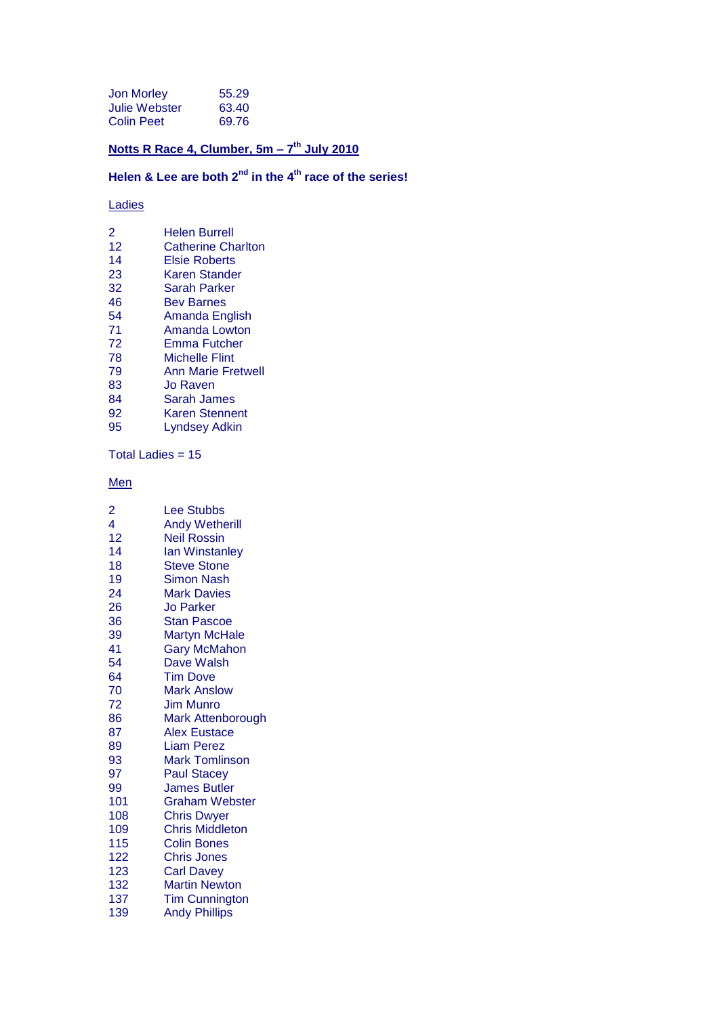| Jon Morley        | 55.29 |
|-------------------|-------|
| Julie Webster     | 63.40 |
| <b>Colin Peet</b> | 69.76 |

#### **Notts R Race 4, Clumber, 5m – 7 th July 2010**

# **Helen & Lee are both 2nd in the 4th race of the series!**

#### Ladies

| 2  | <b>Helen Burrell</b>      |
|----|---------------------------|
| 12 | <b>Catherine Charlton</b> |
| 14 | <b>Elsie Roberts</b>      |
| 23 | Karen Stander             |
| 32 | Sarah Parker              |
| 46 | Bev Barnes                |
| 54 | Amanda English            |
| 71 | <b>Amanda Lowton</b>      |
| 72 | Emma Futcher              |
| 78 | Michelle Flint            |
| 79 | <b>Ann Marie Fretwell</b> |
| 83 | Jo Raven                  |
| 84 | Sarah James               |
| 92 | <b>Karen Stennent</b>     |
| 95 | <b>Lyndsey Adkin</b>      |
|    |                           |

Total Ladies = 15

**Men** 

| $\overline{2}$ | <b>Lee Stubbs</b>      |
|----------------|------------------------|
| 4              | <b>Andy Wetherill</b>  |
| 12             | <b>Neil Rossin</b>     |
| 14             | lan Winstanley         |
| 18             | <b>Steve Stone</b>     |
| 19             | <b>Simon Nash</b>      |
| 24             | <b>Mark Davies</b>     |
|                |                        |
| 26             | Jo Parker              |
| 36             | Stan Pascoe            |
| 39             | Martyn McHale          |
| 41             | <b>Gary McMahon</b>    |
| 54             | Dave Walsh             |
| 64             | <b>Tim Dove</b>        |
| 70             | <b>Mark Anslow</b>     |
| 72             | Jim Munro              |
| 86             | Mark Attenborough      |
| 87             | <b>Alex Eustace</b>    |
| 89             | Liam Perez             |
| 93             | <b>Mark Tomlinson</b>  |
| 97             | <b>Paul Stacey</b>     |
| 99             | <b>James Butler</b>    |
| 101            | <b>Graham Webster</b>  |
| 108            | Chris Dwyer            |
| 109            | <b>Chris Middleton</b> |
| 115            | Colin Bones            |
| 122            | <b>Chris Jones</b>     |
| 123            | <b>Carl Davey</b>      |
| 132            | <b>Martin Newton</b>   |
| 137            | <b>Tim Cunnington</b>  |
| 139            | <b>Andy Phillips</b>   |
|                |                        |